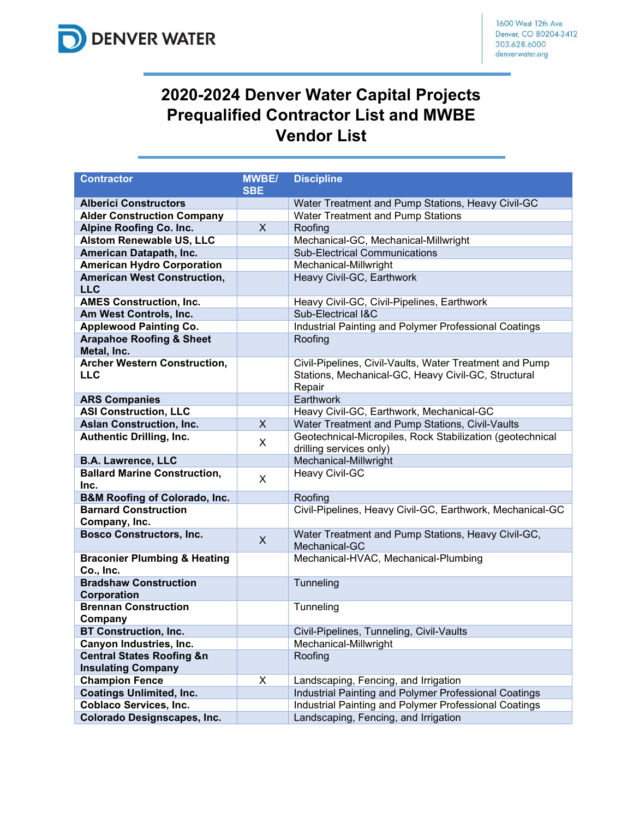

## **2020-2024 Denver Water Capital Projects Prequalified Contractor List and MWBE Vendor List**

| <b>Contractor</b>                                    | <b>MWBE/</b> | <b>Discipline</b>                                                                                                        |
|------------------------------------------------------|--------------|--------------------------------------------------------------------------------------------------------------------------|
| <b>Alberici Constructors</b>                         | <b>SBE</b>   | Water Treatment and Pump Stations, Heavy Civil-GC                                                                        |
| <b>Alder Construction Company</b>                    |              | Water Treatment and Pump Stations                                                                                        |
| <b>Alpine Roofing Co. Inc.</b>                       | $\mathsf{X}$ | Roofing                                                                                                                  |
| <b>Alstom Renewable US, LLC</b>                      |              | Mechanical-GC, Mechanical-Millwright                                                                                     |
| American Datapath, Inc.                              |              | <b>Sub-Electrical Communications</b>                                                                                     |
| <b>American Hydro Corporation</b>                    |              | Mechanical-Millwright                                                                                                    |
| <b>American West Construction,</b>                   |              | Heavy Civil-GC, Earthwork                                                                                                |
| <b>LLC</b>                                           |              |                                                                                                                          |
| <b>AMES Construction, Inc.</b>                       |              | Heavy Civil-GC, Civil-Pipelines, Earthwork                                                                               |
| Am West Controls, Inc.                               |              | Sub-Electrical I&C                                                                                                       |
| <b>Applewood Painting Co.</b>                        |              | Industrial Painting and Polymer Professional Coatings                                                                    |
| <b>Arapahoe Roofing &amp; Sheet</b><br>Metal, Inc.   |              | Roofing                                                                                                                  |
| <b>Archer Western Construction,</b><br><b>LLC</b>    |              | Civil-Pipelines, Civil-Vaults, Water Treatment and Pump<br>Stations, Mechanical-GC, Heavy Civil-GC, Structural<br>Repair |
| <b>ARS Companies</b>                                 |              | Earthwork                                                                                                                |
| <b>ASI Construction, LLC</b>                         |              | Heavy Civil-GC, Earthwork, Mechanical-GC                                                                                 |
| <b>Aslan Construction, Inc.</b>                      | $\mathsf{X}$ | Water Treatment and Pump Stations, Civil-Vaults                                                                          |
| <b>Authentic Drilling, Inc.</b>                      | X            | Geotechnical-Micropiles, Rock Stabilization (geotechnical<br>drilling services only)                                     |
| <b>B.A. Lawrence, LLC</b>                            |              | Mechanical-Millwright                                                                                                    |
| <b>Ballard Marine Construction,</b>                  | X            | Heavy Civil-GC                                                                                                           |
| Inc.                                                 |              |                                                                                                                          |
| <b>B&amp;M Roofing of Colorado, Inc.</b>             |              | Roofing                                                                                                                  |
| <b>Barnard Construction</b><br>Company, Inc.         |              | Civil-Pipelines, Heavy Civil-GC, Earthwork, Mechanical-GC                                                                |
| <b>Bosco Constructors, Inc.</b>                      | X            | Water Treatment and Pump Stations, Heavy Civil-GC,<br>Mechanical-GC                                                      |
| <b>Braconier Plumbing &amp; Heating</b><br>Co., Inc. |              | Mechanical-HVAC, Mechanical-Plumbing                                                                                     |
| <b>Bradshaw Construction</b><br>Corporation          |              | Tunneling                                                                                                                |
| <b>Brennan Construction</b><br>Company               |              | Tunneling                                                                                                                |
| <b>BT Construction, Inc.</b>                         |              | Civil-Pipelines, Tunneling, Civil-Vaults                                                                                 |
| <b>Canyon Industries, Inc.</b>                       |              | Mechanical-Millwright                                                                                                    |
| <b>Central States Roofing &amp;n</b>                 |              | Roofing                                                                                                                  |
| <b>Insulating Company</b>                            |              |                                                                                                                          |
| <b>Champion Fence</b>                                | X            | Landscaping, Fencing, and Irrigation                                                                                     |
| <b>Coatings Unlimited, Inc.</b>                      |              | Industrial Painting and Polymer Professional Coatings                                                                    |
| <b>Coblaco Services, Inc.</b>                        |              | Industrial Painting and Polymer Professional Coatings                                                                    |
| <b>Colorado Designscapes, Inc.</b>                   |              | Landscaping, Fencing, and Irrigation                                                                                     |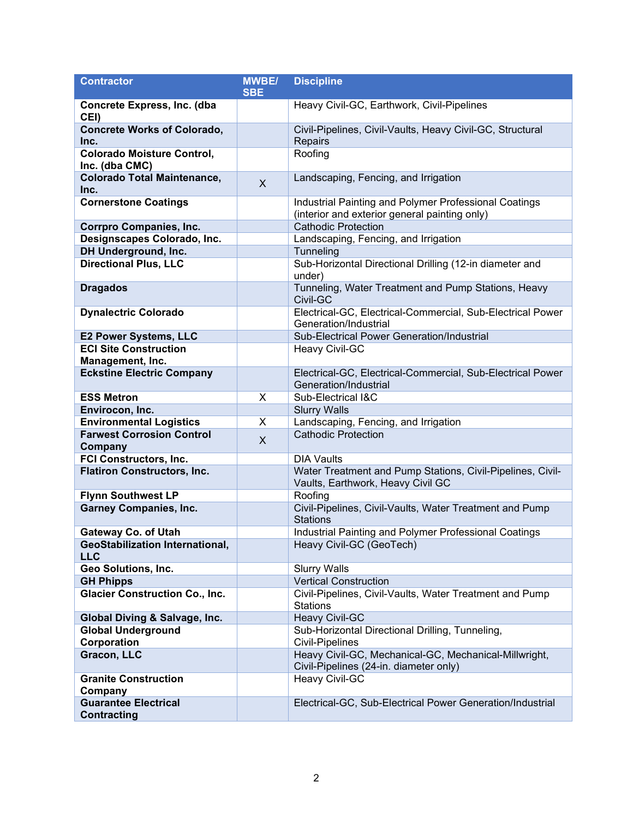| <b>Contractor</b>                                    | <b>MWBE/</b> | <b>Discipline</b>                                                                                      |
|------------------------------------------------------|--------------|--------------------------------------------------------------------------------------------------------|
|                                                      | <b>SBE</b>   |                                                                                                        |
| Concrete Express, Inc. (dba<br>CEI)                  |              | Heavy Civil-GC, Earthwork, Civil-Pipelines                                                             |
| <b>Concrete Works of Colorado,</b><br>Inc.           |              | Civil-Pipelines, Civil-Vaults, Heavy Civil-GC, Structural<br>Repairs                                   |
| <b>Colorado Moisture Control,</b><br>Inc. (dba CMC)  |              | Roofing                                                                                                |
| <b>Colorado Total Maintenance,</b><br>Inc.           | X            | Landscaping, Fencing, and Irrigation                                                                   |
| <b>Cornerstone Coatings</b>                          |              | Industrial Painting and Polymer Professional Coatings<br>(interior and exterior general painting only) |
| <b>Corrpro Companies, Inc.</b>                       |              | <b>Cathodic Protection</b>                                                                             |
| Designscapes Colorado, Inc.                          |              | Landscaping, Fencing, and Irrigation                                                                   |
| DH Underground, Inc.                                 |              | Tunneling                                                                                              |
| <b>Directional Plus, LLC</b>                         |              | Sub-Horizontal Directional Drilling (12-in diameter and<br>under)                                      |
| <b>Dragados</b>                                      |              | Tunneling, Water Treatment and Pump Stations, Heavy<br>Civil-GC                                        |
| <b>Dynalectric Colorado</b>                          |              | Electrical-GC, Electrical-Commercial, Sub-Electrical Power<br>Generation/Industrial                    |
| <b>E2 Power Systems, LLC</b>                         |              | Sub-Electrical Power Generation/Industrial                                                             |
| <b>ECI Site Construction</b><br>Management, Inc.     |              | Heavy Civil-GC                                                                                         |
| <b>Eckstine Electric Company</b>                     |              | Electrical-GC, Electrical-Commercial, Sub-Electrical Power<br>Generation/Industrial                    |
| <b>ESS Metron</b>                                    | X            | Sub-Electrical I&C                                                                                     |
| Envirocon, Inc.                                      |              | <b>Slurry Walls</b>                                                                                    |
| <b>Environmental Logistics</b>                       | X            | Landscaping, Fencing, and Irrigation                                                                   |
| <b>Farwest Corrosion Control</b><br>Company          | X            | <b>Cathodic Protection</b>                                                                             |
| FCI Constructors, Inc.                               |              | <b>DIA Vaults</b>                                                                                      |
| <b>Flatiron Constructors, Inc.</b>                   |              | Water Treatment and Pump Stations, Civil-Pipelines, Civil-<br>Vaults, Earthwork, Heavy Civil GC        |
| <b>Flynn Southwest LP</b>                            |              | Roofing                                                                                                |
| <b>Garney Companies, Inc.</b>                        |              | Civil-Pipelines, Civil-Vaults, Water Treatment and Pump<br><b>Stations</b>                             |
| <b>Gateway Co. of Utah</b>                           |              | Industrial Painting and Polymer Professional Coatings                                                  |
| <b>GeoStabilization International,</b><br><b>LLC</b> |              | Heavy Civil-GC (GeoTech)                                                                               |
| Geo Solutions, Inc.                                  |              | <b>Slurry Walls</b>                                                                                    |
| <b>GH Phipps</b>                                     |              | <b>Vertical Construction</b>                                                                           |
| <b>Glacier Construction Co., Inc.</b>                |              | Civil-Pipelines, Civil-Vaults, Water Treatment and Pump<br><b>Stations</b>                             |
| Global Diving & Salvage, Inc.                        |              | <b>Heavy Civil-GC</b>                                                                                  |
| <b>Global Underground</b>                            |              | Sub-Horizontal Directional Drilling, Tunneling,                                                        |
| Corporation                                          |              | <b>Civil-Pipelines</b>                                                                                 |
| Gracon, LLC                                          |              | Heavy Civil-GC, Mechanical-GC, Mechanical-Millwright,<br>Civil-Pipelines (24-in. diameter only)        |
| <b>Granite Construction</b><br>Company               |              | Heavy Civil-GC                                                                                         |
| <b>Guarantee Electrical</b><br><b>Contracting</b>    |              | Electrical-GC, Sub-Electrical Power Generation/Industrial                                              |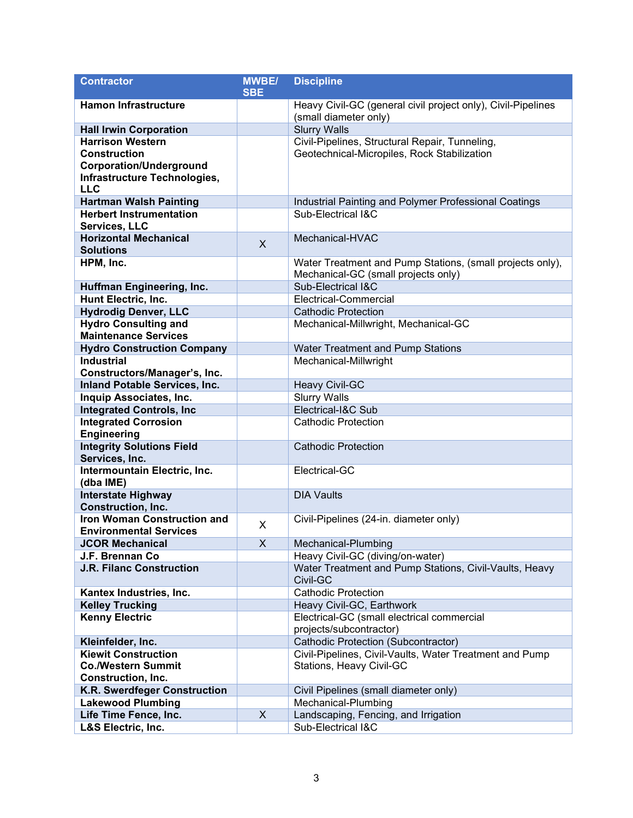| <b>Contractor</b>                                               | <b>MWBE/</b> | <b>Discipline</b>                                                           |
|-----------------------------------------------------------------|--------------|-----------------------------------------------------------------------------|
|                                                                 | <b>SBE</b>   |                                                                             |
| <b>Hamon Infrastructure</b>                                     |              | Heavy Civil-GC (general civil project only), Civil-Pipelines                |
|                                                                 |              | (small diameter only)                                                       |
| <b>Hall Irwin Corporation</b>                                   |              | <b>Slurry Walls</b>                                                         |
| <b>Harrison Western</b>                                         |              | Civil-Pipelines, Structural Repair, Tunneling,                              |
| <b>Construction</b>                                             |              | Geotechnical-Micropiles, Rock Stabilization                                 |
| <b>Corporation/Underground</b>                                  |              |                                                                             |
| Infrastructure Technologies,                                    |              |                                                                             |
| <b>LLC</b>                                                      |              |                                                                             |
| <b>Hartman Walsh Painting</b><br><b>Herbert Instrumentation</b> |              | Industrial Painting and Polymer Professional Coatings<br>Sub-Electrical I&C |
| Services, LLC                                                   |              |                                                                             |
| <b>Horizontal Mechanical</b>                                    |              | Mechanical-HVAC                                                             |
| <b>Solutions</b>                                                | X            |                                                                             |
| HPM, Inc.                                                       |              | Water Treatment and Pump Stations, (small projects only),                   |
|                                                                 |              | Mechanical-GC (small projects only)                                         |
| Huffman Engineering, Inc.                                       |              | Sub-Electrical I&C                                                          |
| Hunt Electric, Inc.                                             |              | Electrical-Commercial                                                       |
| <b>Hydrodig Denver, LLC</b>                                     |              | <b>Cathodic Protection</b>                                                  |
| <b>Hydro Consulting and</b>                                     |              | Mechanical-Millwright, Mechanical-GC                                        |
| <b>Maintenance Services</b>                                     |              |                                                                             |
| <b>Hydro Construction Company</b>                               |              | Water Treatment and Pump Stations                                           |
| <b>Industrial</b>                                               |              | Mechanical-Millwright                                                       |
| Constructors/Manager's, Inc.                                    |              |                                                                             |
| <b>Inland Potable Services, Inc.</b>                            |              | <b>Heavy Civil-GC</b>                                                       |
| Inquip Associates, Inc.                                         |              | <b>Slurry Walls</b>                                                         |
| <b>Integrated Controls, Inc.</b>                                |              | Electrical-I&C Sub                                                          |
| <b>Integrated Corrosion</b>                                     |              | <b>Cathodic Protection</b>                                                  |
| <b>Engineering</b>                                              |              |                                                                             |
| <b>Integrity Solutions Field</b>                                |              | <b>Cathodic Protection</b>                                                  |
| Services, Inc.                                                  |              |                                                                             |
| Intermountain Electric, Inc.<br>(dba IME)                       |              | Electrical-GC                                                               |
| <b>Interstate Highway</b>                                       |              | <b>DIA Vaults</b>                                                           |
| <b>Construction, Inc.</b>                                       |              |                                                                             |
| <b>Iron Woman Construction and</b>                              |              | Civil-Pipelines (24-in. diameter only)                                      |
| <b>Environmental Services</b>                                   | X            |                                                                             |
| <b>JCOR Mechanical</b>                                          | X            | Mechanical-Plumbing                                                         |
| J.F. Brennan Co                                                 |              | Heavy Civil-GC (diving/on-water)                                            |
| <b>J.R. Filanc Construction</b>                                 |              | Water Treatment and Pump Stations, Civil-Vaults, Heavy                      |
|                                                                 |              | Civil-GC                                                                    |
| Kantex Industries, Inc.                                         |              | <b>Cathodic Protection</b>                                                  |
| <b>Kelley Trucking</b>                                          |              | Heavy Civil-GC, Earthwork                                                   |
| <b>Kenny Electric</b>                                           |              | Electrical-GC (small electrical commercial                                  |
|                                                                 |              | projects/subcontractor)                                                     |
| Kleinfelder, Inc.                                               |              | Cathodic Protection (Subcontractor)                                         |
| <b>Kiewit Construction</b>                                      |              | Civil-Pipelines, Civil-Vaults, Water Treatment and Pump                     |
| <b>Co./Western Summit</b>                                       |              | Stations, Heavy Civil-GC                                                    |
| Construction, Inc.                                              |              | Civil Pipelines (small diameter only)                                       |
| K.R. Swerdfeger Construction<br><b>Lakewood Plumbing</b>        |              | Mechanical-Plumbing                                                         |
| Life Time Fence, Inc.                                           | X            | Landscaping, Fencing, and Irrigation                                        |
| L&S Electric, Inc.                                              |              | Sub-Electrical I&C                                                          |
|                                                                 |              |                                                                             |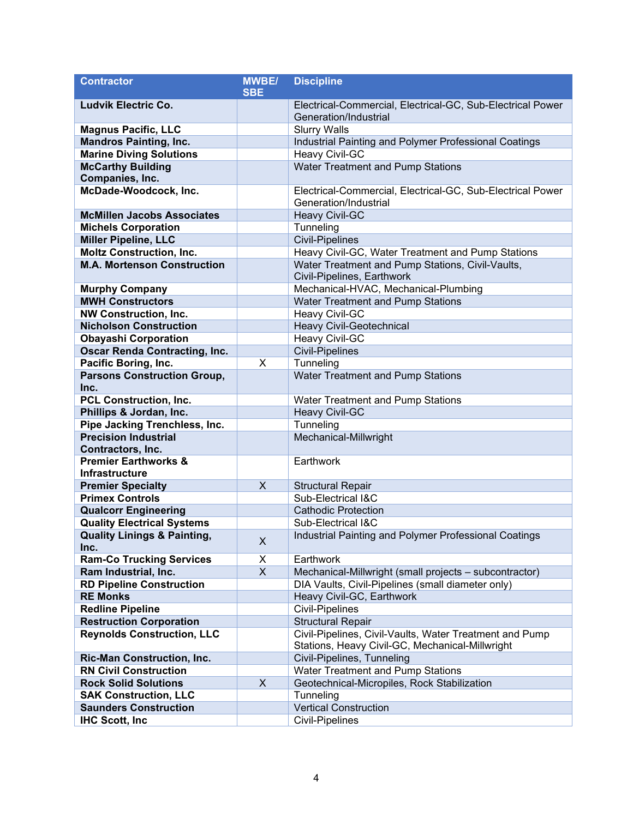| <b>Contractor</b>                              | <b>MWBE/</b> | <b>Discipline</b>                                                                                          |
|------------------------------------------------|--------------|------------------------------------------------------------------------------------------------------------|
|                                                | <b>SBE</b>   |                                                                                                            |
| <b>Ludvik Electric Co.</b>                     |              | Electrical-Commercial, Electrical-GC, Sub-Electrical Power<br>Generation/Industrial                        |
| <b>Magnus Pacific, LLC</b>                     |              | <b>Slurry Walls</b>                                                                                        |
| <b>Mandros Painting, Inc.</b>                  |              | Industrial Painting and Polymer Professional Coatings                                                      |
| <b>Marine Diving Solutions</b>                 |              | Heavy Civil-GC                                                                                             |
| <b>McCarthy Building</b>                       |              | Water Treatment and Pump Stations                                                                          |
| Companies, Inc.                                |              |                                                                                                            |
| McDade-Woodcock, Inc.                          |              | Electrical-Commercial, Electrical-GC, Sub-Electrical Power<br>Generation/Industrial                        |
| <b>McMillen Jacobs Associates</b>              |              | <b>Heavy Civil-GC</b>                                                                                      |
| <b>Michels Corporation</b>                     |              | Tunneling                                                                                                  |
| <b>Miller Pipeline, LLC</b>                    |              | <b>Civil-Pipelines</b>                                                                                     |
| <b>Moltz Construction, Inc.</b>                |              | Heavy Civil-GC, Water Treatment and Pump Stations                                                          |
| <b>M.A. Mortenson Construction</b>             |              | Water Treatment and Pump Stations, Civil-Vaults,                                                           |
|                                                |              | Civil-Pipelines, Earthwork                                                                                 |
| <b>Murphy Company</b>                          |              | Mechanical-HVAC, Mechanical-Plumbing                                                                       |
| <b>MWH Constructors</b>                        |              | Water Treatment and Pump Stations                                                                          |
| <b>NW Construction, Inc.</b>                   |              | Heavy Civil-GC                                                                                             |
| <b>Nicholson Construction</b>                  |              | Heavy Civil-Geotechnical                                                                                   |
| <b>Obayashi Corporation</b>                    |              | Heavy Civil-GC                                                                                             |
| <b>Oscar Renda Contracting, Inc.</b>           |              | <b>Civil-Pipelines</b>                                                                                     |
| Pacific Boring, Inc.                           | X            | Tunneling                                                                                                  |
| <b>Parsons Construction Group,</b>             |              | Water Treatment and Pump Stations                                                                          |
| Inc.                                           |              |                                                                                                            |
| <b>PCL Construction, Inc.</b>                  |              | Water Treatment and Pump Stations                                                                          |
| Phillips & Jordan, Inc.                        |              | <b>Heavy Civil-GC</b>                                                                                      |
| Pipe Jacking Trenchless, Inc.                  |              | Tunneling                                                                                                  |
| <b>Precision Industrial</b>                    |              | Mechanical-Millwright                                                                                      |
| Contractors, Inc.                              |              |                                                                                                            |
| <b>Premier Earthworks &amp;</b>                |              | Earthwork                                                                                                  |
| Infrastructure                                 |              |                                                                                                            |
| <b>Premier Specialty</b>                       | X            | <b>Structural Repair</b>                                                                                   |
| <b>Primex Controls</b>                         |              | Sub-Electrical I&C                                                                                         |
| <b>Qualcorr Engineering</b>                    |              | <b>Cathodic Protection</b>                                                                                 |
| <b>Quality Electrical Systems</b>              |              | Sub-Electrical I&C                                                                                         |
| <b>Quality Linings &amp; Painting,</b><br>Inc. | X            | Industrial Painting and Polymer Professional Coatings                                                      |
| <b>Ram-Co Trucking Services</b>                | X            | Earthwork                                                                                                  |
| Ram Industrial, Inc.                           | X            | Mechanical-Millwright (small projects - subcontractor)                                                     |
| <b>RD Pipeline Construction</b>                |              | DIA Vaults, Civil-Pipelines (small diameter only)                                                          |
| <b>RE Monks</b>                                |              | Heavy Civil-GC, Earthwork                                                                                  |
| <b>Redline Pipeline</b>                        |              | <b>Civil-Pipelines</b>                                                                                     |
| <b>Restruction Corporation</b>                 |              | <b>Structural Repair</b>                                                                                   |
| <b>Reynolds Construction, LLC</b>              |              | Civil-Pipelines, Civil-Vaults, Water Treatment and Pump<br>Stations, Heavy Civil-GC, Mechanical-Millwright |
| <b>Ric-Man Construction, Inc.</b>              |              | Civil-Pipelines, Tunneling                                                                                 |
| <b>RN Civil Construction</b>                   |              | <b>Water Treatment and Pump Stations</b>                                                                   |
| <b>Rock Solid Solutions</b>                    | X            | Geotechnical-Micropiles, Rock Stabilization                                                                |
| <b>SAK Construction, LLC</b>                   |              | Tunneling                                                                                                  |
| <b>Saunders Construction</b>                   |              | <b>Vertical Construction</b>                                                                               |
| <b>IHC Scott, Inc.</b>                         |              | Civil-Pipelines                                                                                            |